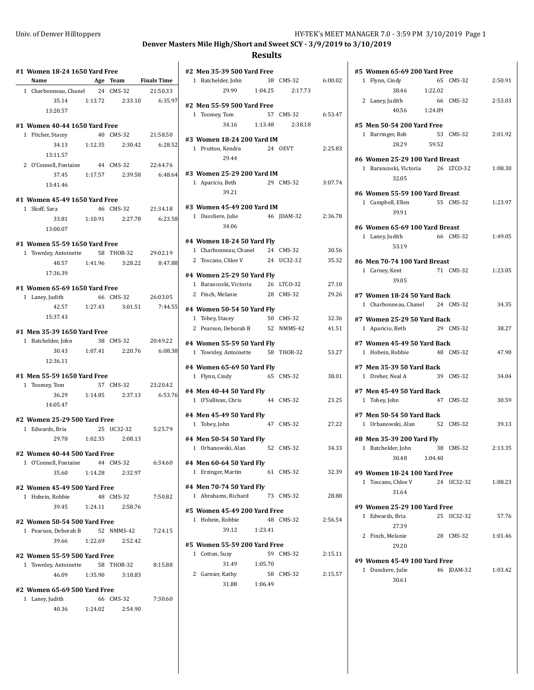# **Denver Masters Mile High/Short and Sweet SCY - 3/9/2019 to 3/10/2019**

## **Results**

| <b>Example 2</b> Age Team Finals Time<br>1 Charbonneau, Chanel 24 CMS-32 21:50.33 |         |                               |          |
|-----------------------------------------------------------------------------------|---------|-------------------------------|----------|
| 35.14                                                                             |         | 1:13.72   2:33.10   6:35.97   |          |
| 13:20.57                                                                          |         |                               |          |
| #1 Women 40-44 1650 Yard Free                                                     |         |                               |          |
| 1 Pitcher, Stacey                                                                 |         | 40 CMS-32 21:58.50            |          |
|                                                                                   |         | 34.13 1:12.35 2:30.42         | 6:28.52  |
| 13:11.57                                                                          |         |                               |          |
| 2 O'Connell, Fontaine 44 CMS-32 22:44.76                                          |         |                               |          |
|                                                                                   |         | 37.45 1:17.57 2:39.58 6:48.64 |          |
| 13:41.46                                                                          |         |                               |          |
| #1 Women 45-49 1650 Yard Free                                                     |         |                               |          |
| 1 Skoff, Sara                                                                     |         | 46 CMS-32                     | 21:34.18 |
| 33.81 1:10.91                                                                     |         | 2:27.78                       | 6:23.58  |
| 13:00.07                                                                          |         |                               |          |
| #1 Women 55-59 1650 Yard Free                                                     |         |                               |          |
| 1 Townley, Antoinette 58 THOR-32 29:02.19                                         |         |                               |          |
| 48.57                                                                             |         | 1:41.96 3:28.22 8:47.88       |          |
| 17:36.39                                                                          |         |                               |          |
| #1 Women 65-69 1650 Yard Free                                                     |         |                               |          |
| 1 Laney, Judith                                                                   |         | 66 CMS-32 26:03.05            |          |
| 42.57 1:27.43                                                                     |         | 3:01.51                       | 7:44.55  |
| 15:37.43                                                                          |         |                               |          |
| #1 Men 35-39 1650 Yard Free                                                       |         |                               |          |
| 1 Batchelder, John 38 CMS-32 20:49.22                                             |         |                               |          |
| 30.43                                                                             |         | 1.07.41 2.20.76               | 6:08.38  |
| 12:36.11                                                                          |         |                               |          |
| #1 Men 55-59 1650 Yard Free                                                       |         |                               |          |
| 1 Toomey, Tom                                                                     |         | 57 CMS-32 23:20.42            |          |
|                                                                                   |         | 36.29 1:14.85 2:37.13 6:53.76 |          |
| 14:05.47                                                                          |         |                               |          |
| #2 Women 25-29 500 Yard Free                                                      |         |                               |          |
| 1 Edwards, Bria                                                                   |         | 25 UC32-32                    | 5:25.79  |
| 29.78                                                                             | 1:02.35 | 2:08.13                       |          |
| #2 Women 40-44 500 Yard Free                                                      |         |                               |          |
| 1 O'Connell, Fontaine 44 CMS-32                                                   |         |                               | 6:34.60  |
| 35.60 1:14.28                                                                     |         | 2:32.97                       |          |
| #2 Women 45-49 500 Yard Free                                                      |         |                               |          |
| 1 Hobein, Robbie                                                                  |         | 48 CMS-32                     | 7:50.82  |
| 39.45                                                                             | 1:24.11 | 2:58.76                       |          |
| #2 Women 50-54 500 Yard Free                                                      |         |                               |          |
| 1 Pearson, Deborah B                                                              |         | 52 NMMS-42                    | 7:24.15  |
|                                                                                   |         | 39.66 1:22.69 2:52.42         |          |
| #2 Women 55-59 500 Yard Free                                                      |         |                               |          |
| 1 Townley, Antoinette 58 THOR-32                                                  |         |                               | 8:15.88  |
| 46.09                                                                             | 1:35.90 | 3:18.83                       |          |
|                                                                                   |         |                               |          |
|                                                                                   |         |                               |          |
| #2 Women 65-69 500 Yard Free<br>1 Laney, Judith<br>40.36                          | 1:24.02 | 66 CMS-32<br>2:54.90          | 7:30.60  |

| #2 Men 35-39 500 Yard Free                                   |         |            |         |
|--------------------------------------------------------------|---------|------------|---------|
| 1 Batchelder, John                                           |         | 38 CMS-32  | 6:00.02 |
| 29.99                                                        | 1:04.25 | 2:17.73    |         |
| #2 Men 55-59 500 Yard Free                                   |         |            |         |
| 1 Toomey, Tom                                                |         | 57 CMS-32  | 6:53.47 |
| 34.16                                                        | 1:13.48 | 2:38.18    |         |
|                                                              |         |            |         |
| #3 Women 18-24 200 Yard IM                                   |         |            |         |
| 1 Prutton, Kendra                                            | 24 OEVT |            | 2:25.83 |
| 29.44                                                        |         |            |         |
| #3 Women 25-29 200 Yard IM                                   |         |            |         |
| 1 Aparicio, Beth                                             |         | 29 CMS-32  | 3:07.74 |
| 39.21                                                        |         |            |         |
|                                                              |         |            |         |
| #3 Women 45-49 200 Yard IM                                   |         |            |         |
| 1 Dussliere, Julie                                           |         | 46 JDAM-32 | 2:36.78 |
| 34.06                                                        |         |            |         |
| #4 Women 18-24 50 Yard Fly                                   |         |            |         |
| 1 Charbonneau, Chanel                                        |         | 24 CMS-32  | 30.56   |
| 2 Toscano, Chloe V                                           |         | 24 UC32-32 | 35.32   |
| #4 Women 25-29 50 Yard Fly                                   |         |            |         |
| 1 Barancoski, Victoria                                       |         | 26 LTCO-32 | 27.10   |
| 2 Finch, Melanie                                             |         | 28 CMS-32  | 29.26   |
|                                                              |         |            |         |
| #4 Women 50-54 50 Yard Fly                                   |         |            |         |
| 1 Tobey, Stacey<br>2 Pearson, Deborah B 52 NMMS-42           |         | 50 CMS-32  | 32.36   |
|                                                              |         |            | 41.51   |
| #4 Women 55-59 50 Yard Fly                                   |         |            |         |
| 1 Townley, Antoinette 58 THOR-32                             |         |            | 53.27   |
| #4 Women 65-69 50 Yard Fly                                   |         |            |         |
| 1 Flynn, Cindy                                               |         | 65 CMS-32  | 38.01   |
|                                                              |         |            |         |
| #4 Men 40-44 50 Yard Fly<br>1 O'Sullivan, Chris              |         | 44 CMS-32  | 23.25   |
|                                                              |         |            |         |
| #4 Men 45-49 50 Yard Fly                                     |         |            |         |
| 1 Tobey, John                                                |         | 47 CMS-32  | 27.22   |
| #4 Men 50-54 50 Yard Fly                                     |         |            |         |
| 1 Urbanowski, Alan                                           |         | 52 CMS-32  | 34.33   |
|                                                              |         |            |         |
| #4 Men 60-64 50 Yard Fly<br>Erzinger, Martin<br>$\mathbf{1}$ |         | 61 CMS-32  | 32.39   |
|                                                              |         |            |         |
| #4 Men 70-74 50 Yard Fly                                     |         |            |         |
| 1 Abrahams, Richard                                          |         | 73 CMS-32  | 28.88   |
| #5 Women 45-49 200 Yard Free                                 |         |            |         |
| 1 Hobein, Robbie                                             | 48      | CMS-32     | 2:56.54 |
| 39.12                                                        | 1:23.41 |            |         |
|                                                              |         |            |         |
| #5 Women 55-59 200 Yard Free<br>1 Cotton, Suzy               | 59      | CMS-32     | 2:15.11 |
| 31.49                                                        | 1:05.70 |            |         |
| 2                                                            |         | 58 CMS-32  | 2:15.57 |
| Garnier, Kathy<br>31.88                                      | 1:06.49 |            |         |
|                                                              |         |            |         |

| #5 Women 65-69 200 Yard Free                   |           |            |         |  |
|------------------------------------------------|-----------|------------|---------|--|
| 1 Flynn, Cindy                                 |           | 65 CMS-32  | 2:50.91 |  |
| 38.46                                          | 1:22.02   |            |         |  |
| 2 Laney, Judith                                |           | 66 CMS-32  | 2:53.03 |  |
| 40.56                                          | 1:24.89   |            |         |  |
| #5 Men 50-54 200 Yard Free                     |           |            |         |  |
| 1 Barringer, Rob                               |           | 53 CMS-32  | 2:01.92 |  |
| 28.29                                          | 59.52     |            |         |  |
|                                                |           |            |         |  |
| #6 Women 25-29 100 Yard Breast                 |           |            |         |  |
| 1 Barancoski, Victoria 26 LTCO-32              |           |            | 1:08.30 |  |
| 32.05                                          |           |            |         |  |
| #6 Women 55-59 100 Yard Breast                 |           |            |         |  |
| 1 Campbell, Ellen                              | 55 CMS-32 |            | 1:23.97 |  |
| 39.91                                          |           |            |         |  |
| #6 Women 65-69 100 Yard Breast                 |           |            |         |  |
| 1 Laney, Judith                                |           | 66 CMS-32  | 1:49.05 |  |
| 53.19                                          |           |            |         |  |
|                                                |           |            |         |  |
| #6 Men 70-74 100 Yard Breast<br>1 Carney, Kent |           | 71 CMS-32  | 1:23.05 |  |
| 39.05                                          |           |            |         |  |
|                                                |           |            |         |  |
| #7 Women 18-24 50 Yard Back                    |           |            |         |  |
| 1 Charbonneau, Chanel 24 CMS-32                |           |            | 34.35   |  |
| #7 Women 25-29 50 Yard Back                    |           |            |         |  |
| 1 Aparicio, Beth                               |           | 29 CMS-32  | 38.27   |  |
| #7 Women 45-49 50 Yard Back                    |           |            |         |  |
| 1 Hobein, Robbie                               |           | 48 CMS-32  | 47.90   |  |
|                                                |           |            |         |  |
| #7 Men 35-39 50 Yard Back<br>1 Dreher, Neal A  |           | 39 CMS-32  | 34.04   |  |
|                                                |           |            |         |  |
| #7 Men 45-49 50 Yard Back                      |           |            |         |  |
| 1 Tobey, John                                  |           | 47 CMS-32  | 30.59   |  |
| #7 Men 50-54 50 Yard Back                      |           |            |         |  |
| 1 Urbanowski, Alan                             |           | 52 CMS-32  | 39.13   |  |
| #8 Men 35-39 200 Yard Fly                      |           |            |         |  |
| 1 Batchelder, John                             |           | 38 CMS-32  | 2:13.35 |  |
| 30.48                                          | 1:04.40   |            |         |  |
|                                                |           |            |         |  |
| #9 Women 18-24 100 Yard Free                   |           |            |         |  |
| 1 Toscano, Chloe V                             |           | 24 UC32-32 | 1:08.23 |  |
| 31.64                                          |           |            |         |  |
| #9 Women 25-29 100 Yard Free                   |           |            |         |  |
| 1 Edwards, Bria                                |           | 25 UC32-32 | 57.76   |  |
| 27.39                                          |           |            |         |  |
| 2 Finch. Melanie                               |           | 28 CMS-32  | 1:01.46 |  |
| 29.20                                          |           |            |         |  |
| #9 Women 45-49 100 Yard Free                   |           |            |         |  |
| 1 Dussliere, Julie                             |           | 46 JDAM-32 | 1:03.42 |  |
| 30.61                                          |           |            |         |  |
|                                                |           |            |         |  |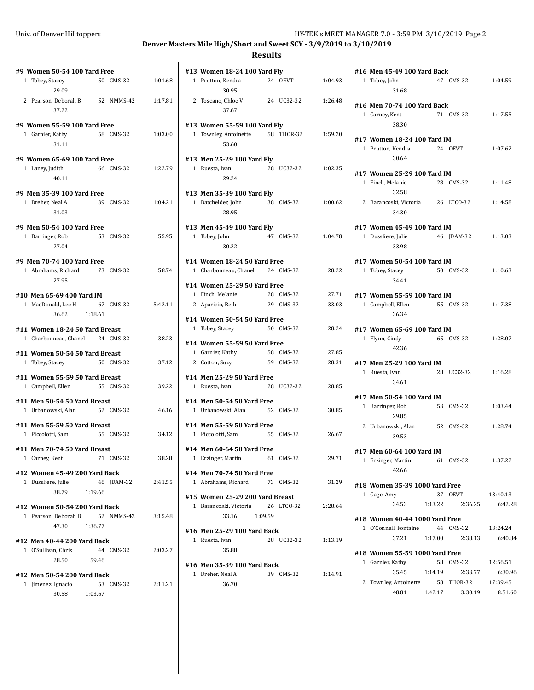$\overline{\phantom{a}}$ 

## **Denver Masters Mile High/Short and Sweet SCY - 3/9/2019 to 3/10/2019**

## **Results**

| #9 Women 50-54 100 Yard Free                                              |         |            |         |
|---------------------------------------------------------------------------|---------|------------|---------|
| Tobey, Stacey<br>$\mathbf{1}$                                             |         | 50 CMS-32  | 1:01.68 |
| 29.09                                                                     |         |            |         |
| 2 Pearson, Deborah B 52 NMMS-42<br>37.22                                  |         |            | 1:17.81 |
| #9 Women 55-59 100 Yard Free                                              |         |            |         |
| 1 Garnier, Kathy<br>31.11                                                 |         | 58 CMS-32  | 1:03.00 |
| #9 Women 65-69 100 Yard Free                                              |         |            |         |
| 1 Laney, Judith<br>40.11                                                  |         | 66 CMS-32  | 1:22.79 |
| #9 Men 35-39 100 Yard Free                                                |         |            |         |
| 1 Dreher, Neal A<br>31.03                                                 |         | 39 CMS-32  | 1:04.21 |
| #9 Men 50-54 100 Yard Free                                                |         |            |         |
| 1 Barringer, Rob<br>27.04                                                 |         | 53 CMS-32  | 55.95   |
| #9 Men 70-74 100 Yard Free                                                |         |            |         |
| 1 Abrahams, Richard 73 CMS-32<br>27.95                                    |         |            | 58.74   |
| #10 Men 65-69 400 Yard IM                                                 |         |            |         |
| 1 MacDonald, Lee H<br>36.62                                               | 1:18.61 | 67 CMS-32  | 5:42.11 |
| #11 Women 18-24 50 Yard Breast<br>1 Charbonneau, Chanel 24 CMS-32         |         |            | 38.23   |
| #11 Women 50-54 50 Yard Breast<br>Tobey, Stacey<br>$\mathbf{1}$           |         | 50 CMS-32  | 37.12   |
| #11 Women 55-59 50 Yard Breast<br>1 Campbell, Ellen                       |         | 55 CMS-32  | 39.22   |
| #11 Men 50-54 50 Yard Breast<br>1 Urbanowski, Alan                        |         | 52 CMS-32  | 46.16   |
| #11 Men 55-59 50 Yard Breast                                              |         |            |         |
| 1 Piccolotti, Sam                                                         |         | 55 CMS-32  | 34.12   |
| #11 Men 70-74 50 Yard Breast<br>1 Carney, Kent                            |         | 71 CMS-32  | 38.28   |
| #12 Women 45-49 200 Yard Back<br>1 Dussliere, Julie<br>38.79 1:19.66      |         | 46 JDAM-32 | 2:41.55 |
| #12 Women 50-54 200 Yard Back<br>1 Pearson, Deborah B 52 NMMS-42<br>47.30 | 1:36.77 |            | 3:15.48 |
| #12 Men 40-44 200 Yard Back<br>1 O'Sullivan, Chris<br>28.50               | 59.46   | 44 CMS-32  | 2:03.27 |
| #12 Men 50-54 200 Yard Back<br>1 Jimenez, Ignacio<br>30.58<br>1:03.67     |         | 53 CMS-32  | 2:11.21 |
|                                                                           |         |            |         |

| #13 Women 18-24 100 Yard Fly                                   |                        |                |
|----------------------------------------------------------------|------------------------|----------------|
| 1 Prutton, Kendra<br>30.95                                     | 24 OEVT                | 1:04.93        |
| 2 Toscano, Chloe V<br>37.67                                    | 24 UC32-32             | 1:26.48        |
| #13 Women 55-59 100 Yard Fly<br>1 Townley, Antoinette<br>53.60 | 58 THOR-32             | 1:59.20        |
| #13 Men 25-29 100 Yard Fly<br>1 Ruesta, Ivan<br>29.24          | 28 UC32-32             | 1:02.35        |
| #13 Men 35-39 100 Yard Fly<br>1 Batchelder, John<br>28.95      | 38 CMS-32              | 1:00.62        |
| #13 Men 45-49 100 Yard Fly<br>1 Tobey, John<br>30.22           | 47 CMS-32              | 1:04.78        |
| #14 Women 18-24 50 Yard Free                                   |                        |                |
| 1 Charbonneau, Chanel 24 CMS-32                                |                        | 28.22          |
| #14 Women 25-29 50 Yard Free                                   |                        |                |
| 1 Finch, Melanie<br>2 Aparicio, Beth                           | 28 CMS-32<br>29 CMS-32 | 27.71<br>33.03 |
|                                                                |                        |                |
| #14 Women 50-54 50 Yard Free<br>1 Tobey, Stacey                | 50 CMS-32              | 28.24          |
| #14 Women 55-59 50 Yard Free                                   |                        |                |
| 1 Garnier, Kathy                                               | 58 CMS-32              | 27.85          |
| 2 Cotton, Suzy                                                 | 59 CMS-32              | 28.31          |
| #14 Men 25-29 50 Yard Free                                     |                        |                |
| 1 Ruesta, Ivan                                                 | 28 UC32-32             | 28.85          |
| #14 Men 50-54 50 Yard Free<br>1 Urbanowski, Alan               | 52 CMS-32              | 30.85          |
|                                                                |                        |                |
| #14 Men 55-59 50 Yard Free<br>1 Piccolotti, Sam                | 55 CMS-32              | 26.67          |
| #14 Men 60-64 50 Yard Free                                     |                        |                |
| 1 Erzinger, Martin                                             | 61 CMS-32              | 29.71          |
| #14 Men 70-74 50 Yard Free<br>1 Abrahams, Richard              | 73 CMS-32              | 31.29          |
|                                                                |                        |                |
| #15 Women 25-29 200 Yard Breast                                |                        |                |
| 1 Barancoski, Victoria<br>1:09.59<br>33.16                     | 26 LTCO-32             | 2:28.64        |
| #16 Men 25-29 100 Yard Back                                    |                        |                |
| 1 Ruesta, Ivan<br>35.88                                        | 28 UC32-32             | 1:13.19        |
| #16 Men 35-39 100 Yard Back                                    |                        |                |
| 1 Dreher, Neal A<br>36.70                                      | 39 CMS-32              | 1:14.91        |
|                                                                |                        |                |

|              | #16 Men 45-49 100 Yard Back<br>1 Tobey, John<br>31.68            |         | 47 CMS-32                    | 1:04.59             |
|--------------|------------------------------------------------------------------|---------|------------------------------|---------------------|
|              | #16 Men 70-74 100 Yard Back<br>1 Carney, Kent<br>38.30           |         | 71 CMS-32                    | 1:17.55             |
|              | #17 Women 18-24 100 Yard IM<br>1 Prutton, Kendra<br>30.64        |         | 24 OEVT                      | 1:07.62             |
|              | #17 Women 25-29 100 Yard IM<br>1 Finch, Melanie<br>32.58         |         | 28 CMS-32                    | 1:11.48             |
|              | 2 Barancoski, Victoria 26 LTCO-32<br>34.30                       |         |                              | 1:14.58             |
|              | #17 Women 45-49 100 Yard IM<br>1 Dussliere, Julie<br>33.98       |         | 46 JDAM-32                   | 1:13.03             |
|              | #17 Women 50-54 100 Yard IM<br>1 Tobey, Stacey<br>34.41          |         | 50 CMS-32                    | 1:10.63             |
|              | #17 Women 55-59 100 Yard IM<br>1 Campbell, Ellen<br>36.34        |         | 55 CMS-32                    | 1:17.38             |
|              | #17 Women 65-69 100 Yard IM<br>1 Flynn, Cindy<br>42.36           |         | 65 CMS-32                    | 1:28.07             |
|              | #17 Men 25-29 100 Yard IM<br>1 Ruesta, Ivan<br>34.61             | 28      | UC32-32                      | 1:16.28             |
| $\mathbf{1}$ | #17 Men 50-54 100 Yard IM<br>Barringer, Rob<br>29.85             |         | 53 CMS-32                    | 1:03.44             |
|              | 2 Urbanowski, Alan<br>39.53                                      |         | 52 CMS-32                    | 1:28.74             |
|              | #17 Men 60-64 100 Yard IM<br>1 Erzinger, Martin<br>42.66         |         | 61 CMS-32                    | 1:37.22             |
|              | #18 Women 35-39 1000 Yard Free<br>1 Gage, Amy<br>34.53           | 1:13.22 | 37 OEVT<br>2:36.25           | 13:40.13<br>6:42.28 |
|              | #18 Women 40-44 1000 Yard Free<br>1 O'Connell, Fontaine<br>37.21 |         | 44 CMS-32<br>1:17.00 2:38.13 | 13:24.24<br>6:40.84 |
|              | #18 Women 55-59 1000 Yard Free<br>1 Garnier, Kathy<br>35.45      | 1:14.19 | 58 CMS-32<br>2:33.77         | 12:56.51<br>6:30.96 |
|              | 2 Townley, Antoinette 58 THOR-32<br>48.81                        | 1:42.17 | 3:30.19                      | 17:39.45<br>8:51.60 |